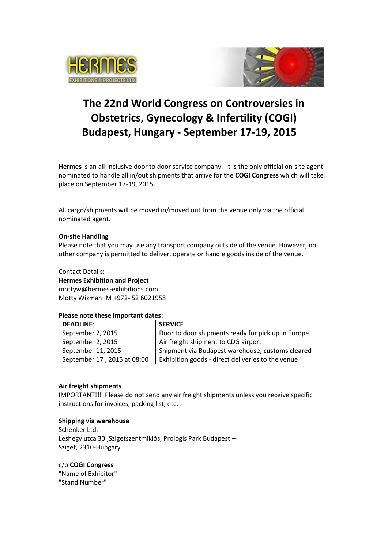



# **The 22nd World Congress on Controversies in Obstetrics, Gynecology & Infertility (COGI) Budapest, Hungary - September 17-19, 2015**

**Hermes** is an all-inclusive door to door service company. It is the only official on-site agent nominated to handle all in/out shipments that arrive for the **COGI Congress** which will take place on September 17-19, 2015.

All cargo/shipments will be moved in/moved out from the venue only via the official nominated agent.

#### **On-site Handling**

Please note that you may use any transport company outside of the venue. However, no other company is permitted to deliver, operate or handle goods inside of the venue.

Contact Details:

**Hermes Exhibition and Project**  [mottyw@hermes-exhibitions.com](mailto:mottyw@hermes-exhibitions.com)  Motty Wizman: M +972- 52 6021958

# **Please note these important dates:**

| <b>DEADLINE:</b>            | <b>SERVICE</b>                                     |
|-----------------------------|----------------------------------------------------|
| September 2, 2015           | Door to door shipments ready for pick up in Europe |
| September 2, 2015           | Air freight shipment to CDG airport                |
| September 11, 2015          | Shipment via Budapest warehouse, customs cleared   |
| September 17, 2015 at 08:00 | Exhibition goods - direct deliveries to the venue  |

# **Air freight shipments**

IMPORTANT!!! Please do not send any air freight shipments unless you receive specific instructions for invoices, packing list, etc.

# **Shipping via warehouse**

Schenker Ltd. Leshegy utca 30.,Szigetszentmiklós, Prologis Park Budapest – Sziget, 2310-Hungary

c/o **COGI Congress** "Name of Exhibitor"

"Stand Number"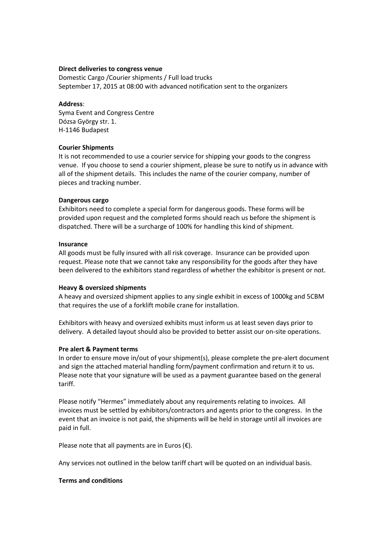#### **Direct deliveries to congress venue**

Domestic Cargo /Courier shipments / Full load trucks September 17, 2015 at 08:00 with advanced notification sent to the organizers

#### **Address**:

Syma Event and Congress Centre Dózsa György str. 1. H-1146 Budapest

# **Courier Shipments**

It is not recommended to use a courier service for shipping your goods to the congress venue. If you choose to send a courier shipment, please be sure to notify us in advance with all of the shipment details. This includes the name of the courier company, number of pieces and tracking number.

#### **Dangerous cargo**

Exhibitors need to complete a special form for dangerous goods. These forms will be provided upon request and the completed forms should reach us before the shipment is dispatched. There will be a surcharge of 100% for handling this kind of shipment.

#### **Insurance**

All goods must be fully insured with all risk coverage. Insurance can be provided upon request. Please note that we cannot take any responsibility for the goods after they have been delivered to the exhibitors stand regardless of whether the exhibitor is present or not.

# **Heavy & oversized shipments**

A heavy and oversized shipment applies to any single exhibit in excess of 1000kg and 5CBM that requires the use of a forklift mobile crane for installation.

Exhibitors with heavy and oversized exhibits must inform us at least seven days prior to delivery. A detailed layout should also be provided to better assist our on-site operations.

# **Pre alert & Payment terms**

In order to ensure move in/out of your shipment(s), please complete the pre-alert document and sign the attached material handling form/payment confirmation and return it to us. Please note that your signature will be used as a payment guarantee based on the general tariff.

Please notify "Hermes" immediately about any requirements relating to invoices. All invoices must be settled by exhibitors/contractors and agents prior to the congress. In the event that an invoice is not paid, the shipments will be held in storage until all invoices are paid in full.

Please note that all payments are in Euros  $(\epsilon)$ .

Any services not outlined in the below tariff chart will be quoted on an individual basis.

# **Terms and conditions**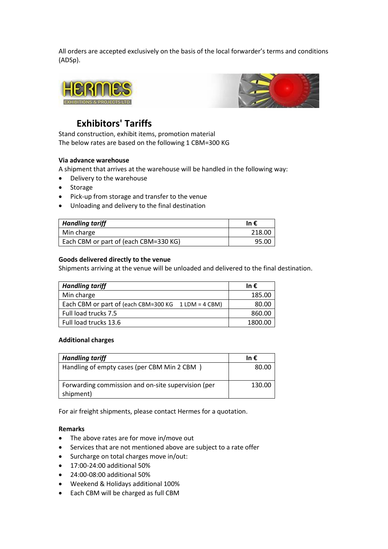All orders are accepted exclusively on the basis of the local forwarder's terms and conditions (ADSp).





# **Exhibitors' Tariffs**

Stand construction, exhibit items, promotion material The below rates are based on the following 1 CBM=300 KG

# **Via advance warehouse**

A shipment that arrives at the warehouse will be handled in the following way:

- Delivery to the warehouse
- Storage
- Pick-up from storage and transfer to the venue
- Unloading and delivery to the final destination

| <b>Handling tariff</b>                | In €   |
|---------------------------------------|--------|
| Min charge                            | 218.00 |
| Each CBM or part of (each CBM=330 KG) | 95.00  |

#### **Goods delivered directly to the venue**

Shipments arriving at the venue will be unloaded and delivered to the final destination.

| <b>Handling tariff</b>                              | In €    |
|-----------------------------------------------------|---------|
| Min charge                                          | 185.00  |
| Each CBM or part of (each CBM=300 KG 1 LDM = 4 CBM) | 80.00   |
| Full load trucks 7.5                                | 860.00  |
| Full load trucks 13.6                               | 1800.00 |

#### **Additional charges**

| <b>Handling tariff</b>                                          | In €   |
|-----------------------------------------------------------------|--------|
| Handling of empty cases (per CBM Min 2 CBM)                     | 80.00  |
| Forwarding commission and on-site supervision (per<br>shipment) | 130.00 |

For air freight shipments, please contact Hermes for a quotation.

#### **Remarks**

- The above rates are for move in/move out
- Services that are not mentioned above are subject to a rate offer
- Surcharge on total charges move in/out:
- 17:00-24:00 additional 50%
- 24:00-08:00 additional 50%
- Weekend & Holidays additional 100%
- Each CBM will be charged as full CBM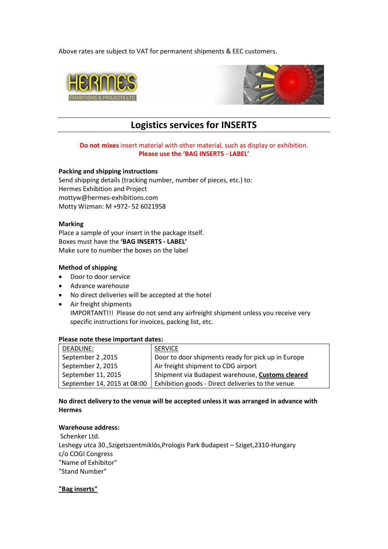Above rates are subject to VAT for permanent shipments & EEC customers.





# **Logistics services for INSERTS**

# **Do not mixes** insert material with other material, such as display or exhibition. **Please use the 'BAG INSERTS - LABEL'**

#### **Packing and shipping instructions**

Send shipping details (tracking number, number of pieces, etc.) to: Hermes Exhibition and Project [mottyw@hermes-exhibitions.com](mailto:mottyw@hermes-exhibitions.com) Motty Wizman: M +972- 52 6021958

#### **Marking**

Place a sample of your insert in the package itself. Boxes must have the **'BAG INSERTS - LABEL'** Make sure to number the boxes on the label

# **Method of shipping**

- Door to door service
- Advance warehouse
- No direct deliveries will be accepted at the hotel
- Air freight shipments IMPORTANT!!! Please do not send any airfreight shipment unless you receive very specific instructions for invoices, packing list, etc.

#### **Please note these important dates:**

| DEADLINE:                   | <b>SERVICE</b>                                     |
|-----------------------------|----------------------------------------------------|
| September 2, 2015           | Door to door shipments ready for pick up in Europe |
| September 2, 2015           | Air freight shipment to CDG airport                |
| September 11, 2015          | Shipment via Budapest warehouse, Customs cleared   |
| September 14, 2015 at 08:00 | Exhibition goods - Direct deliveries to the venue  |

# **No direct delivery to the venue will be accepted unless it was arranged in advance with Hermes**

### **Warehouse address:**

Schenker Ltd. Leshegy utca 30.,Szigetszentmiklós,Prologis Park Budapest – Sziget,2310-Hungary c/o COGI Congress "Name of Exhibitor" "Stand Number"

**"Bag inserts"**